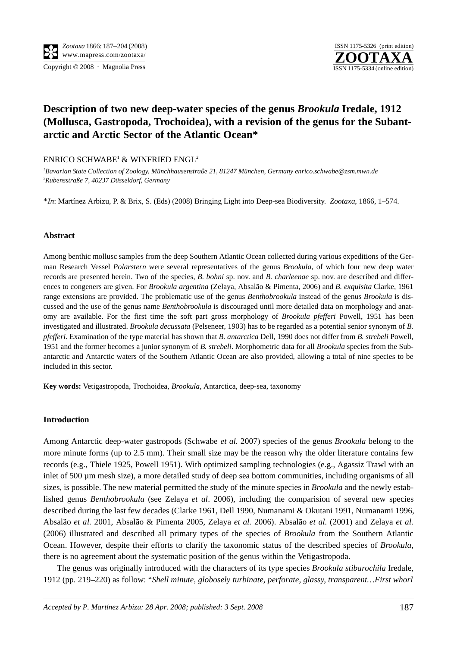

# **Description of two new deep-water species of the genus** *Brookula* **Iredale, 1912 (Mollusca, Gastropoda, Trochoidea), with a revision of the genus for the Subantarctic and Arctic Sector of the Atlantic Ocean\***

ENRICO SCHWABE<sup>1</sup> & WINFRIED ENGL<sup>2</sup>

*1 Bavarian State Collection of Zoology, Münchhausenstraße 21, 81247 München, Germany enrico.schwabe@zsm.mwn.de 2 Rubensstraße 7, 40237 Düsseldorf, Germany*

\**In*: Martínez Arbizu, P. & Brix, S. (Eds) (2008) Bringing Light into Deep-sea Biodiversity. *Zootaxa*, 1866, 1–574.

## **Abstract**

Among benthic mollusc samples from the deep Southern Atlantic Ocean collected during various expeditions of the German Research Vessel *Polarstern* were several representatives of the genus *Brookula*, of which four new deep water records are presented herein. Two of the species, *B. bohni* sp. nov. and *B. charleenae* sp. nov. are described and differences to congeners are given. For *Brookula argentina* (Zelaya, Absalão & Pimenta, 2006) and *B. exquisita* Clarke, 1961 range extensions are provided. The problematic use of the genus *Benthobrookula* instead of the genus *Brookula* is discussed and the use of the genus name *Benthobrookula* is discouraged until more detailed data on morphology and anatomy are available. For the first time the soft part gross morphology of *Brookula pfefferi* Powell, 1951 has been investigated and illustrated. *Brookula decussata* (Pelseneer, 1903) has to be regarded as a potential senior synonym of *B. pfefferi*. Examination of the type material has shown that *B. antarctica* Dell, 1990 does not differ from *B. strebeli* Powell, 1951 and the former becomes a junior synonym of *B. strebeli*. Morphometric data for all *Brookula* species from the Subantarctic and Antarctic waters of the Southern Atlantic Ocean are also provided, allowing a total of nine species to be included in this sector.

**Key words:** Vetigastropoda, Trochoidea, *Brookula*, Antarctica, deep-sea, taxonomy

## **Introduction**

Among Antarctic deep-water gastropods (Schwabe *et al.* 2007) species of the genus *Brookula* belong to the more minute forms (up to 2.5 mm). Their small size may be the reason why the older literature contains few records (e.g., Thiele 1925, Powell 1951). With optimized sampling technologies (e.g., Agassiz Trawl with an inlet of 500 µm mesh size), a more detailed study of deep sea bottom communities, including organisms of all sizes, is possible. The new material permitted the study of the minute species in *Brookula* and the newly established genus *Benthobrookula* (see Zelaya *et al*. 2006), including the comparision of several new species described during the last few decades (Clarke 1961, Dell 1990, Numanami & Okutani 1991, Numanami 1996, Absalão *et al.* 2001, Absalão & Pimenta 2005, Zelaya *et al.* 2006). Absalão *et al.* (2001) and Zelaya *et al.* (2006) illustrated and described all primary types of the species of *Brookula* from the Southern Atlantic Ocean. However, despite their efforts to clarify the taxonomic status of the described species of *Brookula*, there is no agreement about the systematic position of the genus within the Vetigastropoda.

The genus was originally introduced with the characters of its type species *Brookula stibarochila* Iredale, 1912 (pp. 219–220) as follow: "*Shell minute, globosely turbinate, perforate, glassy, transparent…First whorl*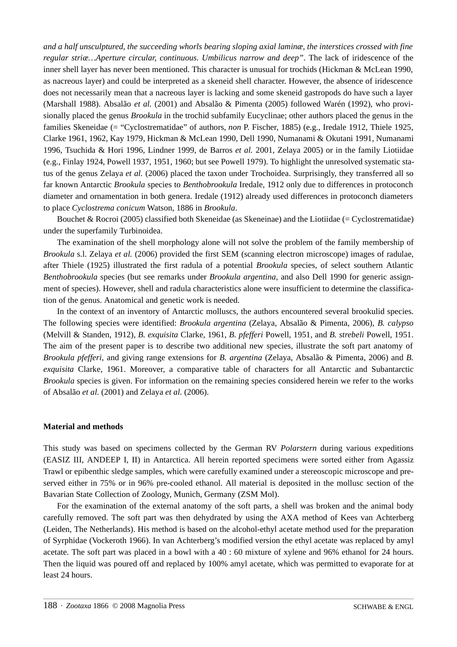*and a half unsculptured, the succeeding whorls bearing sloping axial laminæ, the interstices crossed with fine regular striæ…Aperture circular, continuous. Umbilicus narrow and deep"*. The lack of iridescence of the inner shell layer has never been mentioned. This character is unusual for trochids (Hickman & McLean 1990, as nacreous layer) and could be interpreted as a skeneid shell character. However, the absence of iridescence does not necessarily mean that a nacreous layer is lacking and some skeneid gastropods do have such a layer (Marshall 1988). Absalão *et al.* (2001) and Absalão & Pimenta (2005) followed Warén (1992), who provisionally placed the genus *Brookula* in the trochid subfamily Eucyclinae; other authors placed the genus in the families Skeneidae (= "Cyclostrematidae" of authors, *non* P. Fischer, 1885) (e.g., Iredale 1912, Thiele 1925, Clarke 1961, 1962, Kay 1979, Hickman & McLean 1990, Dell 1990, Numanami & Okutani 1991, Numanami 1996, Tsuchida & Hori 1996, Lindner 1999, de Barros *et al.* 2001, Zelaya 2005) or in the family Liotiidae (e.g., Finlay 1924, Powell 1937, 1951, 1960; but see Powell 1979). To highlight the unresolved systematic status of the genus Zelaya *et al.* (2006) placed the taxon under Trochoidea. Surprisingly, they transferred all so far known Antarctic *Brookula* species to *Benthobrookula* Iredale, 1912 only due to differences in protoconch diameter and ornamentation in both genera. Iredale (1912) already used differences in protoconch diameters to place *Cyclostrema conicum* Watson, 1886 in *Brookula*.

Bouchet & Rocroi (2005) classified both Skeneidae (as Skeneinae) and the Liotiidae (= Cyclostrematidae) under the superfamily Turbinoidea.

The examination of the shell morphology alone will not solve the problem of the family membership of *Brookula* s.l. Zelaya *et al.* (2006) provided the first SEM (scanning electron microscope) images of radulae, after Thiele (1925) illustrated the first radula of a potential *Brookula* species, of select southern Atlantic *Benthobrookula* species (but see remarks under *Brookula argentina*, and also Dell 1990 for generic assignment of species). However, shell and radula characteristics alone were insufficient to determine the classification of the genus. Anatomical and genetic work is needed.

In the context of an inventory of Antarctic molluscs, the authors encountered several brookulid species. The following species were identified: *Brookula argentina* (Zelaya, Absalão & Pimenta, 2006), *B. calypso* (Melvill & Standen, 1912), *B. exquisita* Clarke, 1961, *B. pfefferi* Powell, 1951, and *B. strebeli* Powell, 1951. The aim of the present paper is to describe two additional new species, illustrate the soft part anatomy of *Brookula pfefferi*, and giving range extensions for *B. argentina* (Zelaya, Absalão & Pimenta, 2006) and *B. exquisita* Clarke, 1961. Moreover, a comparative table of characters for all Antarctic and Subantarctic *Brookula* species is given. For information on the remaining species considered herein we refer to the works of Absalão *et al.* (2001) and Zelaya *et al.* (2006).

## **Material and methods**

This study was based on specimens collected by the German RV *Polarstern* during various expeditions (EASIZ III, ANDEEP I, II) in Antarctica. All herein reported specimens were sorted either from Agassiz Trawl or epibenthic sledge samples, which were carefully examined under a stereoscopic microscope and preserved either in 75% or in 96% pre-cooled ethanol. All material is deposited in the mollusc section of the Bavarian State Collection of Zoology, Munich, Germany (ZSM Mol).

For the examination of the external anatomy of the soft parts, a shell was broken and the animal body carefully removed. The soft part was then dehydrated by using the AXA method of Kees van Achterberg (Leiden, The Netherlands). His method is based on the alcohol-ethyl acetate method used for the preparation of Syrphidae (Vockeroth 1966). In van Achterberg's modified version the ethyl acetate was replaced by amyl acetate. The soft part was placed in a bowl with a 40 : 60 mixture of xylene and 96% ethanol for 24 hours. Then the liquid was poured off and replaced by 100% amyl acetate, which was permitted to evaporate for at least 24 hours.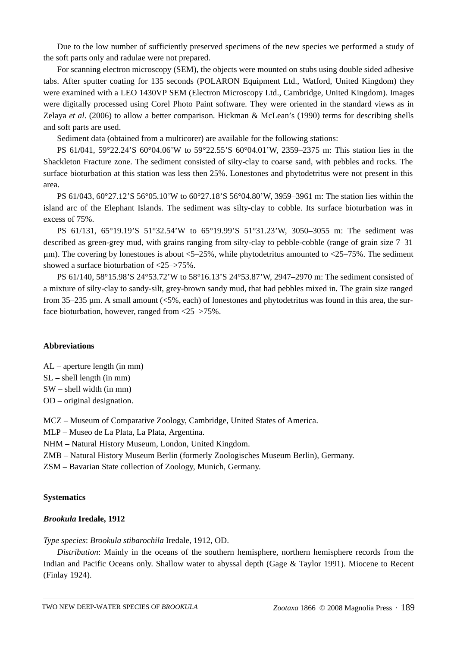Due to the low number of sufficiently preserved specimens of the new species we performed a study of the soft parts only and radulae were not prepared.

For scanning electron microscopy (SEM), the objects were mounted on stubs using double sided adhesive tabs. After sputter coating for 135 seconds (POLARON Equipment Ltd., Watford, United Kingdom) they were examined with a LEO 1430VP SEM (Electron Microscopy Ltd., Cambridge, United Kingdom). Images were digitally processed using Corel Photo Paint software. They were oriented in the standard views as in Zelaya *et al*. (2006) to allow a better comparison. Hickman & McLean's (1990) terms for describing shells and soft parts are used.

Sediment data (obtained from a multicorer) are available for the following stations:

PS 61**/**041, 59°22.24'S 60°04.06'W to 59°22.55'S 60°04.01'W, 2359–2375 m: This station lies in the Shackleton Fracture zone. The sediment consisted of silty-clay to coarse sand, with pebbles and rocks. The surface bioturbation at this station was less then 25%. Lonestones and phytodetritus were not present in this area.

PS 61/043, 60°27.12'S 56°05.10'W to 60°27.18'S 56°04.80'W, 3959–3961 m: The station lies within the island arc of the Elephant Islands. The sediment was silty-clay to cobble. Its surface bioturbation was in excess of 75%.

PS 61/131, 65°19.19'S 51°32.54'W to 65°19.99'S 51°31.23'W, 3050–3055 m: The sediment was described as green-grey mud, with grains ranging from silty-clay to pebble-cobble (range of grain size 7–31  $\mu$ m). The covering by lonestones is about <5–25%, while phytodetritus amounted to <25–75%. The sediment showed a surface bioturbation of <25–>75%.

PS 61/140, 58°15.98'S 24°53.72'W to 58°16.13'S 24°53.87'W, 2947–2970 m: The sediment consisted of a mixture of silty-clay to sandy-silt, grey-brown sandy mud, that had pebbles mixed in. The grain size ranged from 35–235 µm. A small amount (<5%, each) of lonestones and phytodetritus was found in this area, the surface bioturbation, however, ranged from <25–>75%.

#### **Abbreviations**

AL – aperture length (in mm)

SL – shell length (in mm)

SW – shell width (in mm)

OD – original designation.

MCZ – Museum of Comparative Zoology, Cambridge, United States of America.

MLP – Museo de La Plata, La Plata, Argentina.

NHM – Natural History Museum, London, United Kingdom.

ZMB – Natural History Museum Berlin (formerly Zoologisches Museum Berlin), Germany.

ZSM – Bavarian State collection of Zoology, Munich, Germany.

#### **Systematics**

#### *Brookula* **Iredale, 1912**

*Type species*: *Brookula stibarochila* Iredale, 1912, OD.

*Distribution*: Mainly in the oceans of the southern hemisphere, northern hemisphere records from the Indian and Pacific Oceans only. Shallow water to abyssal depth (Gage & Taylor 1991). Miocene to Recent (Finlay 1924).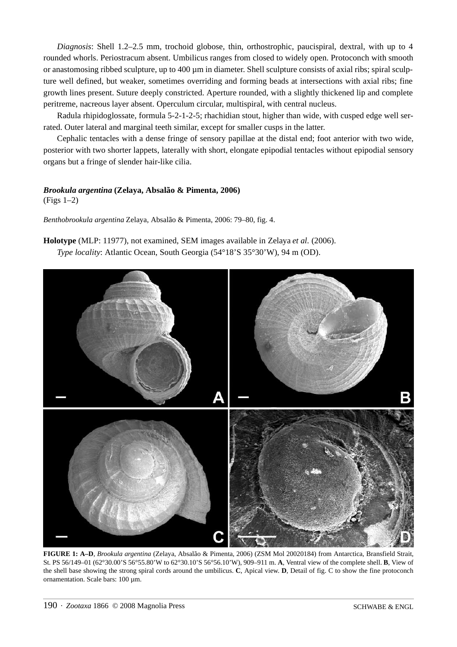*Diagnosis*: Shell 1.2–2.5 mm, trochoid globose, thin, orthostrophic, paucispiral, dextral, with up to 4 rounded whorls. Periostracum absent. Umbilicus ranges from closed to widely open. Protoconch with smooth or anastomosing ribbed sculpture, up to  $400 \mu m$  in diameter. Shell sculpture consists of axial ribs; spiral sculpture well defined, but weaker, sometimes overriding and forming beads at intersections with axial ribs; fine growth lines present. Suture deeply constricted. Aperture rounded, with a slightly thickened lip and complete peritreme, nacreous layer absent. Operculum circular, multispiral, with central nucleus.

Radula rhipidoglossate, formula 5-2-1-2-5; rhachidian stout, higher than wide, with cusped edge well serrated. Outer lateral and marginal teeth similar, except for smaller cusps in the latter.

Cephalic tentacles with a dense fringe of sensory papillae at the distal end; foot anterior with two wide, posterior with two shorter lappets, laterally with short, elongate epipodial tentacles without epipodial sensory organs but a fringe of slender hair-like cilia.

# *Brookula argentina* **(Zelaya, Absalão & Pimenta, 2006)**

(Figs 1–2)

*Benthobrookula argentina* Zelaya, Absalão & Pimenta, 2006: 79–80, fig. 4.

**Holotype** (MLP: 11977), not examined, SEM images available in Zelaya *et al.* (2006). *Type locality*: Atlantic Ocean, South Georgia (54°18'S 35°30'W), 94 m (OD).



**FIGURE 1: A–D**, *Brookula argentina* (Zelaya, Absalão & Pimenta, 2006) (ZSM Mol 20020184) from Antarctica, Bransfield Strait, St. PS 56/149–01 (62°30.00'S 56°55.80'W to 62°30.10'S 56°56.10'W), 909–911 m. **A**, Ventral view of the complete shell. **B**, View of the shell base showing the strong spiral cords around the umbilicus. **C**, Apical view. **D**, Detail of fig. C to show the fine protoconch ornamentation. Scale bars: 100 µm.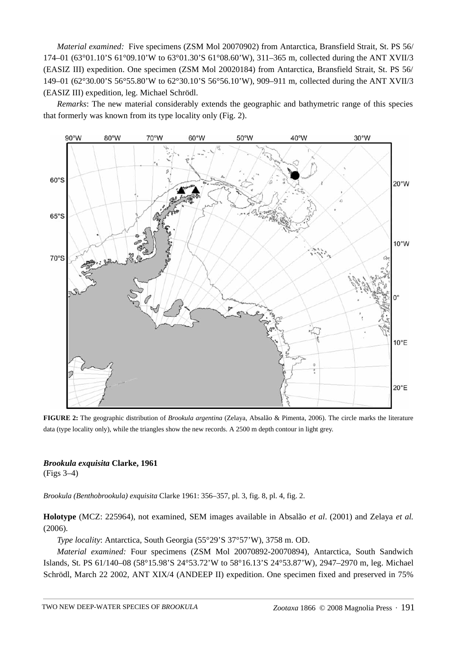*Material examined:* Five specimens (ZSM Mol 20070902) from Antarctica, Bransfield Strait, St. PS 56/ 174–01 (63°01.10'S 61°09.10'W to 63°01.30'S 61°08.60'W), 311–365 m, collected during the ANT XVII/3 (EASIZ III) expedition. One specimen (ZSM Mol 20020184) from Antarctica, Bransfield Strait, St. PS 56/ 149–01 (62°30.00'S 56°55.80'W to 62°30.10'S 56°56.10'W), 909–911 m, collected during the ANT XVII/3 (EASIZ III) expedition, leg. Michael Schrödl.

*Remarks*: The new material considerably extends the geographic and bathymetric range of this species that formerly was known from its type locality only (Fig. 2).



**FIGURE 2:** The geographic distribution of *Brookula argentina* (Zelaya, Absalão & Pimenta, 2006). The circle marks the literature data (type locality only), while the triangles show the new records. A 2500 m depth contour in light grey.

# *Brookula exquisita* **Clarke, 1961**

(Figs 3–4)

*Brookula (Benthobrookula) exquisita* Clarke 1961: 356–357, pl. 3, fig. 8, pl. 4, fig. 2.

**Holotype** (MCZ: 225964), not examined, SEM images available in Absalão *et al*. (2001) and Zelaya *et al.* (2006).

*Type locality*: Antarctica, South Georgia (55°29'S 37°57'W), 3758 m. OD.

*Material examined:* Four specimens (ZSM Mol 20070892-20070894), Antarctica, South Sandwich Islands, St. PS 61/140–08 (58°15.98'S 24°53.72'W to 58°16.13'S 24°53.87'W), 2947–2970 m, leg. Michael Schrödl, March 22 2002, ANT XIX/4 (ANDEEP II) expedition. One specimen fixed and preserved in 75%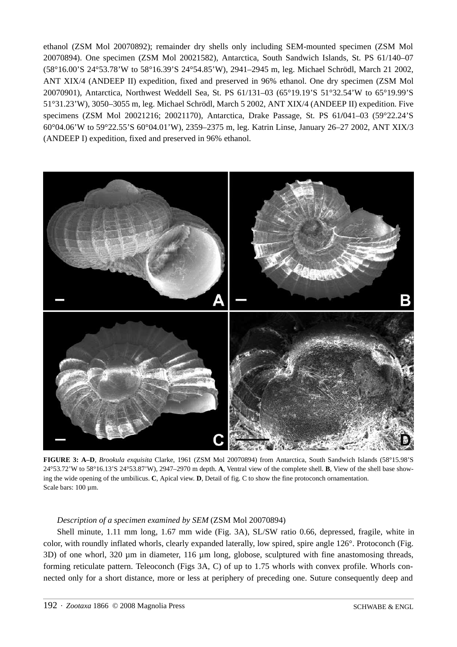ethanol (ZSM Mol 20070892); remainder dry shells only including SEM-mounted specimen (ZSM Mol 20070894). One specimen (ZSM Mol 20021582), Antarctica, South Sandwich Islands, St. PS 61/140–07 (58°16.00'S 24°53.78'W to 58°16.39'S 24°54.85'W), 2941–2945 m, leg. Michael Schrödl, March 21 2002, ANT XIX/4 (ANDEEP II) expedition, fixed and preserved in 96% ethanol. One dry specimen (ZSM Mol 20070901), Antarctica, Northwest Weddell Sea, St. PS 61/131–03 (65°19.19'S 51°32.54'W to 65°19.99'S 51°31.23'W), 3050–3055 m, leg. Michael Schrödl, March 5 2002, ANT XIX/4 (ANDEEP II) expedition. Five specimens (ZSM Mol 20021216; 20021170), Antarctica, Drake Passage, St. PS 61**/**041–03 (59°22.24'S 60°04.06'W to 59°22.55'S 60°04.01'W), 2359–2375 m, leg. Katrin Linse, January 26–27 2002, ANT XIX/3 (ANDEEP I) expedition, fixed and preserved in 96% ethanol.



**FIGURE 3: A–D**, *Brookula exquisita* Clarke, 1961 (ZSM Mol 20070894) from Antarctica, South Sandwich Islands (58°15.98'S 24°53.72'W to 58°16.13'S 24°53.87'W), 2947–2970 m depth. **A**, Ventral view of the complete shell. **B**, View of the shell base showing the wide opening of the umbilicus. **C**, Apical view. **D**, Detail of fig. C to show the fine protoconch ornamentation. Scale bars: 100 µm.

## *Description of a specimen examined by SEM* (ZSM Mol 20070894)

Shell minute, 1.11 mm long, 1.67 mm wide (Fig. 3A), SL/SW ratio 0.66, depressed, fragile, white in color, with roundly inflated whorls, clearly expanded laterally, low spired, spire angle 126°. Protoconch (Fig. 3D) of one whorl, 320 µm in diameter, 116 µm long, globose, sculptured with fine anastomosing threads, forming reticulate pattern. Teleoconch (Figs 3A, C) of up to 1.75 whorls with convex profile. Whorls connected only for a short distance, more or less at periphery of preceding one. Suture consequently deep and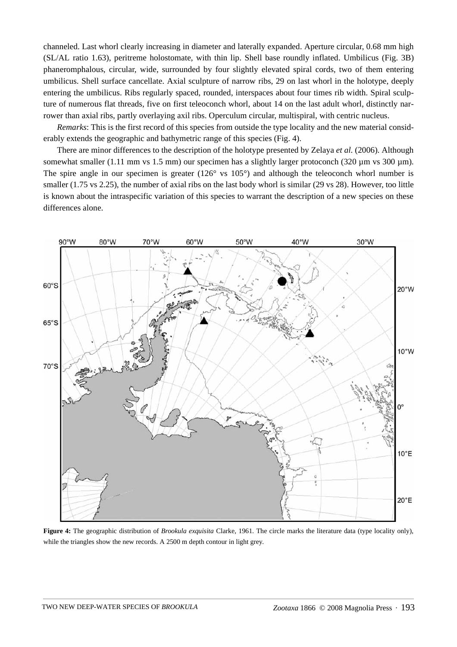channeled. Last whorl clearly increasing in diameter and laterally expanded. Aperture circular, 0.68 mm high (SL/AL ratio 1.63), peritreme holostomate, with thin lip. Shell base roundly inflated. Umbilicus (Fig. 3B) phaneromphalous, circular, wide, surrounded by four slightly elevated spiral cords, two of them entering umbilicus. Shell surface cancellate. Axial sculpture of narrow ribs, 29 on last whorl in the holotype, deeply entering the umbilicus. Ribs regularly spaced, rounded, interspaces about four times rib width. Spiral sculpture of numerous flat threads, five on first teleoconch whorl, about 14 on the last adult whorl, distinctly narrower than axial ribs, partly overlaying axil ribs. Operculum circular, multispiral, with centric nucleus.

*Remarks*: This is the first record of this species from outside the type locality and the new material considerably extends the geographic and bathymetric range of this species (Fig. 4).

There are minor differences to the description of the holotype presented by Zelaya *et al.* (2006). Although somewhat smaller (1.11 mm vs 1.5 mm) our specimen has a slightly larger protoconch (320 µm vs 300 µm). The spire angle in our specimen is greater  $(126^{\circ}$  vs  $105^{\circ})$  and although the teleoconch whorl number is smaller (1.75 vs 2.25), the number of axial ribs on the last body whorl is similar (29 vs 28). However, too little is known about the intraspecific variation of this species to warrant the description of a new species on these differences alone.



**Figure 4:** The geographic distribution of *Brookula exquisita* Clarke, 1961. The circle marks the literature data (type locality only), while the triangles show the new records. A 2500 m depth contour in light grey.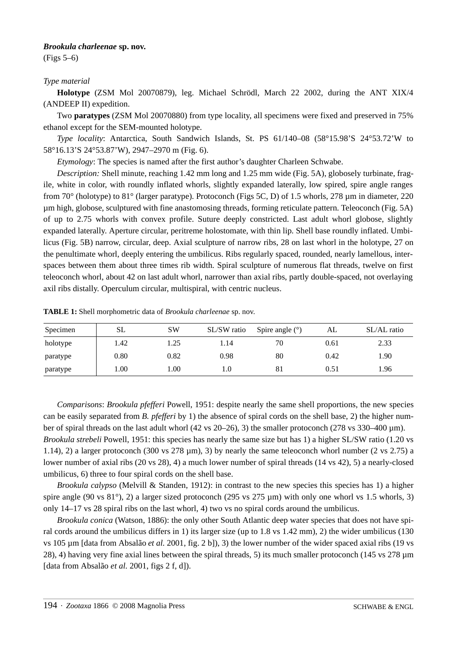## *Brookula charleenae* **sp. nov.**

(Figs 5–6)

## *Type material*

**Holotype** (ZSM Mol 20070879), leg. Michael Schrödl, March 22 2002, during the ANT XIX/4 (ANDEEP II) expedition.

Two **paratypes** (ZSM Mol 20070880) from type locality, all specimens were fixed and preserved in 75% ethanol except for the SEM-mounted holotype.

*Type locality*: Antarctica, South Sandwich Islands, St. PS 61/140–08 (58°15.98'S 24°53.72'W to 58°16.13'S 24°53.87'W), 2947–2970 m (Fig. 6).

*Etymology*: The species is named after the first author's daughter Charleen Schwabe.

*Description:* Shell minute, reaching 1.42 mm long and 1.25 mm wide (Fig. 5A), globosely turbinate, fragile, white in color, with roundly inflated whorls, slightly expanded laterally, low spired, spire angle ranges from 70° (holotype) to 81° (larger paratype). Protoconch (Figs 5C, D) of 1.5 whorls, 278 µm in diameter, 220 µm high, globose, sculptured with fine anastomosing threads, forming reticulate pattern. Teleoconch (Fig. 5A) of up to 2.75 whorls with convex profile. Suture deeply constricted. Last adult whorl globose, slightly expanded laterally. Aperture circular, peritreme holostomate, with thin lip. Shell base roundly inflated. Umbilicus (Fig. 5B) narrow, circular, deep. Axial sculpture of narrow ribs, 28 on last whorl in the holotype, 27 on the penultimate whorl, deeply entering the umbilicus. Ribs regularly spaced, rounded, nearly lamellous, interspaces between them about three times rib width. Spiral sculpture of numerous flat threads, twelve on first teleoconch whorl, about 42 on last adult whorl, narrower than axial ribs, partly double-spaced, not overlaying axil ribs distally. Operculum circular, multispiral, with centric nucleus.

| Specimen | <b>SL</b> | <b>SW</b> | SL/SW ratio | Spire angle $(°)$ | AL   | SL/AL ratio |
|----------|-----------|-----------|-------------|-------------------|------|-------------|
| holotype | .42       | 1.25      | 1.14        | 70                | 0.61 | 2.33        |
| paratype | 0.80      | 0.82      | 0.98        | 80                | 0.42 | 1.90        |
| paratype | 1.00      | 00.1      | 1.0         | 81                | 0.51 | 1.96        |

**TABLE 1:** Shell morphometric data of *Brookula charleenae* sp. nov.

*Comparisons*: *Brookula pfefferi* Powell, 1951: despite nearly the same shell proportions, the new species can be easily separated from *B. pfefferi* by 1) the absence of spiral cords on the shell base, 2) the higher number of spiral threads on the last adult whorl  $(42 \text{ vs } 20-26)$ , 3) the smaller protoconch  $(278 \text{ vs } 330-400 \text{ µm})$ . *Brookula strebeli* Powell, 1951: this species has nearly the same size but has 1) a higher SL/SW ratio (1.20 vs 1.14), 2) a larger protoconch (300 vs  $278 \text{ µm}$ ), 3) by nearly the same teleoconch whorl number (2 vs  $2.75$ ) a lower number of axial ribs (20 vs 28), 4) a much lower number of spiral threads (14 vs 42), 5) a nearly-closed umbilicus, 6) three to four spiral cords on the shell base.

*Brookula calypso* (Melvill & Standen, 1912): in contrast to the new species this species has 1) a higher spire angle (90 vs  $81^{\circ}$ ), 2) a larger sized protoconch (295 vs  $275 \mu m$ ) with only one whorl vs 1.5 whorls, 3) only 14–17 vs 28 spiral ribs on the last whorl, 4) two vs no spiral cords around the umbilicus.

*Brookula conica* (Watson, 1886): the only other South Atlantic deep water species that does not have spiral cords around the umbilicus differs in 1) its larger size (up to 1.8 vs 1.42 mm), 2) the wider umbilicus (130 vs 105 µm [data from Absalão *et al.* 2001, fig. 2 b]), 3) the lower number of the wider spaced axial ribs (19 vs 28), 4) having very fine axial lines between the spiral threads, 5) its much smaller protoconch (145 vs 278 µm [data from Absalão *et al.* 2001, figs 2 f, d]).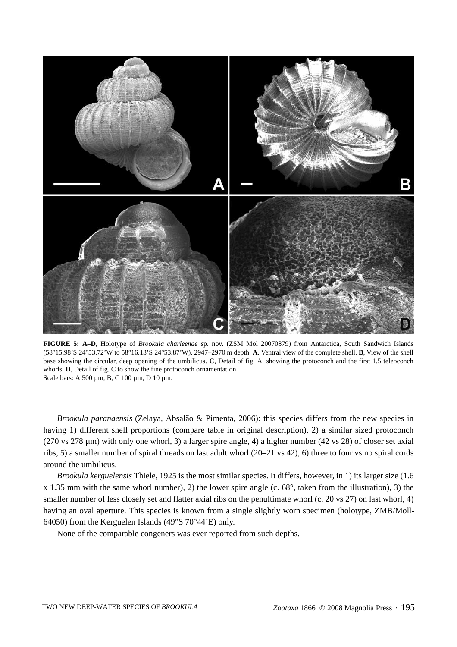

**FIGURE 5: A–D**, Holotype of *Brookula charleenae* sp. nov. (ZSM Mol 20070879) from Antarctica, South Sandwich Islands (58°15.98'S 24°53.72'W to 58°16.13'S 24°53.87'W), 2947–2970 m depth. **A**, Ventral view of the complete shell. **B**, View of the shell base showing the circular, deep opening of the umbilicus. **C**, Detail of fig. A, showing the protoconch and the first 1.5 teleoconch whorls. **D**, Detail of fig. C to show the fine protoconch ornamentation. Scale bars: A 500 µm, B, C 100 µm, D 10 µm.

*Brookula paranaensis* (Zelaya, Absalão & Pimenta, 2006): this species differs from the new species in having 1) different shell proportions (compare table in original description), 2) a similar sized protoconch (270 vs 278 µm) with only one whorl, 3) a larger spire angle, 4) a higher number (42 vs 28) of closer set axial ribs, 5) a smaller number of spiral threads on last adult whorl (20–21 vs 42), 6) three to four vs no spiral cords around the umbilicus.

*Brookula kerguelensis* Thiele, 1925 is the most similar species. It differs, however, in 1) its larger size (1.6 x 1.35 mm with the same whorl number), 2) the lower spire angle (c. 68°, taken from the illustration), 3) the smaller number of less closely set and flatter axial ribs on the penultimate whorl (c. 20 vs 27) on last whorl, 4) having an oval aperture. This species is known from a single slightly worn specimen (holotype, ZMB/Moll-64050) from the Kerguelen Islands (49°S 70°44'E) only.

None of the comparable congeners was ever reported from such depths.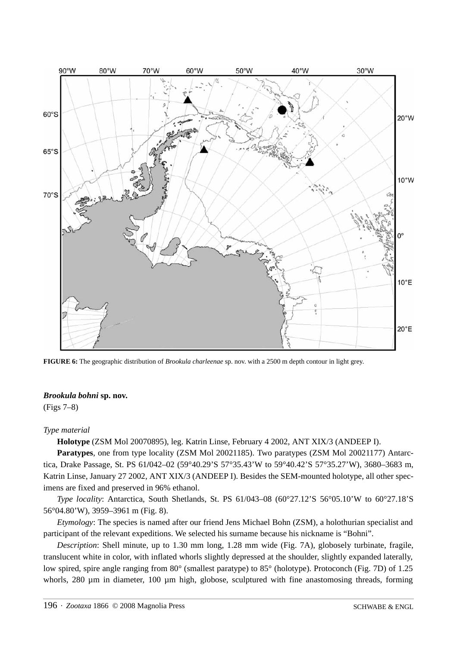

**FIGURE 6:** The geographic distribution of *Brookula charleenae* sp. nov. with a 2500 m depth contour in light grey.

# *Brookula bohni* **sp. nov.**

(Figs 7–8)

# *Type material*

**Holotype** (ZSM Mol 20070895), leg. Katrin Linse, February 4 2002, ANT XIX/3 (ANDEEP I).

**Paratypes**, one from type locality (ZSM Mol 20021185). Two paratypes (ZSM Mol 20021177) Antarctica, Drake Passage, St. PS 61**/**042–02 (59°40.29'S 57°35.43'W to 59°40.42'S 57°35.27'W), 3680–3683 m, Katrin Linse, January 27 2002, ANT XIX/3 (ANDEEP I). Besides the SEM-mounted holotype, all other specimens are fixed and preserved in 96% ethanol.

*Type locality*: Antarctica, South Shetlands, St. PS 61/043-08 (60°27.12'S 56°05.10'W to 60°27.18'S 56°04.80'W), 3959–3961 m (Fig. 8).

*Etymology*: The species is named after our friend Jens Michael Bohn (ZSM), a holothurian specialist and participant of the relevant expeditions. We selected his surname because his nickname is "Bohni".

*Description*: Shell minute, up to 1.30 mm long, 1.28 mm wide (Fig. 7A), globosely turbinate, fragile, translucent white in color, with inflated whorls slightly depressed at the shoulder, slightly expanded laterally, low spired, spire angle ranging from 80° (smallest paratype) to 85° (holotype). Protoconch (Fig. 7D) of 1.25 whorls, 280  $\mu$ m in diameter, 100  $\mu$ m high, globose, sculptured with fine anastomosing threads, forming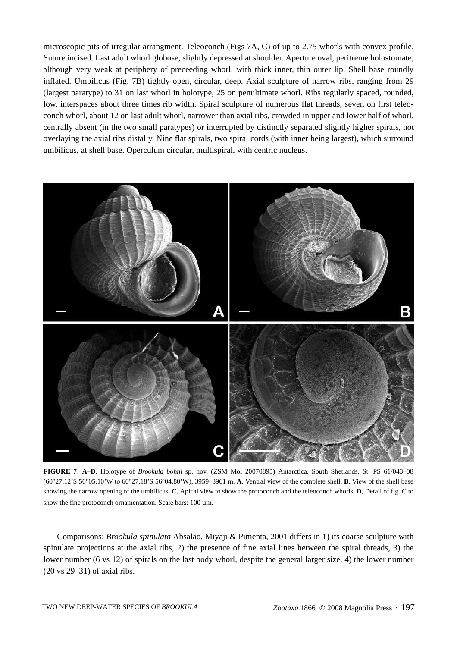microscopic pits of irregular arrangment. Teleoconch (Figs 7A, C) of up to 2.75 whorls with convex profile. Suture incised. Last adult whorl globose, slightly depressed at shoulder. Aperture oval, peritreme holostomate, although very weak at periphery of preceeding whorl; with thick inner, thin outer lip. Shell base roundly inflated. Umbilicus (Fig. 7B) tightly open, circular, deep. Axial sculpture of narrow ribs, ranging from 29 (largest paratype) to 31 on last whorl in holotype, 25 on penultimate whorl. Ribs regularly spaced, rounded, low, interspaces about three times rib width. Spiral sculpture of numerous flat threads, seven on first teleoconch whorl, about 12 on last adult whorl, narrower than axial ribs, crowded in upper and lower half of whorl, centrally absent (in the two small paratypes) or interrupted by distinctly separated slightly higher spirals, not overlaying the axial ribs distally. Nine flat spirals, two spiral cords (with inner being largest), which surround umbilicus, at shell base. Operculum circular, multispiral, with centric nucleus.



**FIGURE 7: A–D**, Holotype of *Brookula bohni* sp. nov. (ZSM Mol 20070895) Antarctica, South Shetlands, St. PS 61/043–08 (60°27.12'S 56°05.10'W to 60°27.18'S 56°04.80'W), 3959–3961 m. **A**, Ventral view of the complete shell. **B**, View of the shell base showing the narrow opening of the umbilicus. **C**, Apical view to show the protoconch and the teleoconch whorls. **D**, Detail of fig. C to show the fine protoconch ornamentation. Scale bars: 100 µm.

Comparisons: *Brookula spinulata* Absalão, Miyaji & Pimenta, 2001 differs in 1) its coarse sculpture with spinulate projections at the axial ribs, 2) the presence of fine axial lines between the spiral threads, 3) the lower number (6 vs 12) of spirals on the last body whorl, despite the general larger size, 4) the lower number (20 vs 29–31) of axial ribs.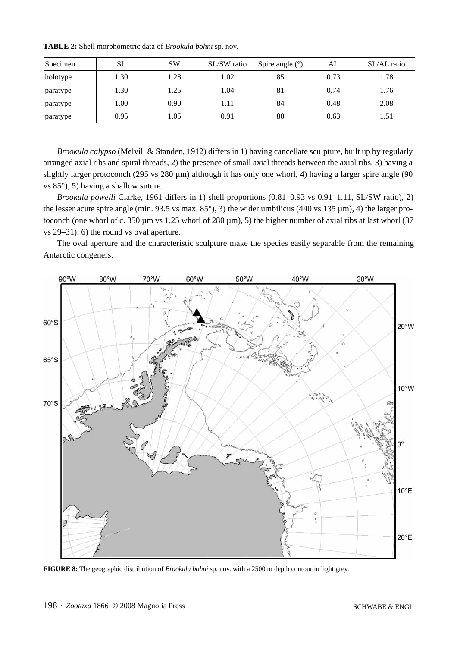| Specimen | <b>SL</b> | <b>SW</b> | SL/SW ratio | Spire angle $(°)$ | AL   | SL/AL ratio |
|----------|-----------|-----------|-------------|-------------------|------|-------------|
| holotype | 1.30      | 1.28      | 1.02        | 85                | 0.73 | 1.78        |
| paratype | 1.30      | 1.25      | 1.04        | 81                | 0.74 | 1.76        |
| paratype | 1.00      | 0.90      | 1.11        | 84                | 0.48 | 2.08        |
| paratype | 0.95      | 1.05      | 0.91        | 80                | 0.63 | 1.51        |

**TABLE 2:** Shell morphometric data of *Brookula bohni* sp. nov.

*Brookula calypso* (Melvill & Standen, 1912) differs in 1) having cancellate sculpture, built up by regularly arranged axial ribs and spiral threads, 2) the presence of small axial threads between the axial ribs, 3) having a slightly larger protoconch (295 vs 280 µm) although it has only one whorl, 4) having a larger spire angle (90 vs 85°), 5) having a shallow suture.

*Brookula powelli* Clarke, 1961 differs in 1) shell proportions (0.81–0.93 vs 0.91–1.11, SL/SW ratio), 2) the lesser acute spire angle (min. 93.5 vs max.  $85^{\circ}$ ), 3) the wider umbilicus (440 vs 135 µm), 4) the larger protoconch (one whorl of c. 350  $\mu$ m vs 1.25 whorl of 280  $\mu$ m), 5) the higher number of axial ribs at last whorl (37 vs 29–31), 6) the round vs oval aperture.

The oval aperture and the characteristic sculpture make the species easily separable from the remaining Antarctic congeners.



**FIGURE 8:** The geographic distribution of *Brookula bohni* sp. nov. with a 2500 m depth contour in light grey.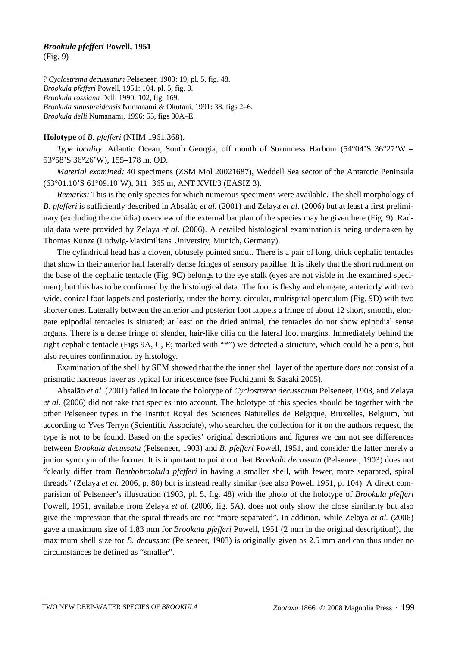## *Brookula pfefferi* **Powell, 1951**

(Fig. 9)

? *Cyclostrema decussatum* Pelseneer, 1903: 19, pl. 5, fig. 48. *Brookula pfefferi* Powell, 1951: 104, pl. 5, fig. 8. *Brookula rossiana* Dell, 1990: 102, fig. 169. *Brookula sinusbreidensis* Numanami & Okutani, 1991: 38, figs 2–6. *Brookula delli* Numanami, 1996: 55, figs 30A–E.

## **Holotype** of *B. pfefferi* (NHM 1961.368).

*Type locality*: Atlantic Ocean, South Georgia, off mouth of Stromness Harbour (54°04'S 36°27'W – 53°58'S 36°26'W), 155–178 m. OD.

*Material examined:* 40 specimens (ZSM Mol 20021687), Weddell Sea sector of the Antarctic Peninsula (63°01.10'S 61°09.10'W), 311–365 m, ANT XVII/3 (EASIZ 3).

*Remarks:* This is the only species for which numerous specimens were available. The shell morphology of *B. pfefferi* is sufficiently described in Absalão *et al.* (2001) and Zelaya *et al.* (2006) but at least a first preliminary (excluding the ctenidia) overview of the external bauplan of the species may be given here (Fig. 9). Radula data were provided by Zelaya *et al.* (2006). A detailed histological examination is being undertaken by Thomas Kunze (Ludwig-Maximilians University, Munich, Germany).

The cylindrical head has a cloven, obtusely pointed snout. There is a pair of long, thick cephalic tentacles that show in their anterior half laterally dense fringes of sensory papillae. It is likely that the short rudiment on the base of the cephalic tentacle (Fig. 9C) belongs to the eye stalk (eyes are not visble in the examined specimen), but this has to be confirmed by the histological data. The foot is fleshy and elongate, anteriorly with two wide, conical foot lappets and posteriorly, under the horny, circular, multispiral operculum (Fig. 9D) with two shorter ones. Laterally between the anterior and posterior foot lappets a fringe of about 12 short, smooth, elongate epipodial tentacles is situated; at least on the dried animal, the tentacles do not show epipodial sense organs. There is a dense fringe of slender, hair-like cilia on the lateral foot margins. Immediately behind the right cephalic tentacle (Figs 9A, C, E; marked with "\*") we detected a structure, which could be a penis, but also requires confirmation by histology.

Examination of the shell by SEM showed that the the inner shell layer of the aperture does not consist of a prismatic nacreous layer as typical for iridescence (see Fuchigami & Sasaki 2005).

Absalão *et al.* (2001) failed in locate the holotype of *Cyclostrema decussatum* Pelseneer, 1903, and Zelaya *et al.* (2006) did not take that species into account. The holotype of this species should be together with the other Pelseneer types in the Institut Royal des Sciences Naturelles de Belgique, Bruxelles, Belgium, but according to Yves Terryn (Scientific Associate), who searched the collection for it on the authors request, the type is not to be found. Based on the species' original descriptions and figures we can not see differences between *Brookula decussata* (Pelseneer, 1903) and *B. pfefferi* Powell, 1951, and consider the latter merely a junior synonym of the former. It is important to point out that *Brookula decussata* (Pelseneer, 1903) does not "clearly differ from *Benthobrookula pfefferi* in having a smaller shell, with fewer, more separated, spiral threads" (Zelaya *et al.* 2006, p. 80) but is instead really similar (see also Powell 1951, p. 104). A direct comparision of Pelseneer's illustration (1903, pl. 5, fig. 48) with the photo of the holotype of *Brookula pfefferi* Powell, 1951, available from Zelaya *et al.* (2006, fig. 5A), does not only show the close similarity but also give the impression that the spiral threads are not "more separated". In addition, while Zelaya *et al.* (2006) gave a maximum size of 1.83 mm for *Brookula pfefferi* Powell, 1951 (2 mm in the original description!), the maximum shell size for *B. decussata* (Pelseneer, 1903) is originally given as 2.5 mm and can thus under no circumstances be defined as "smaller".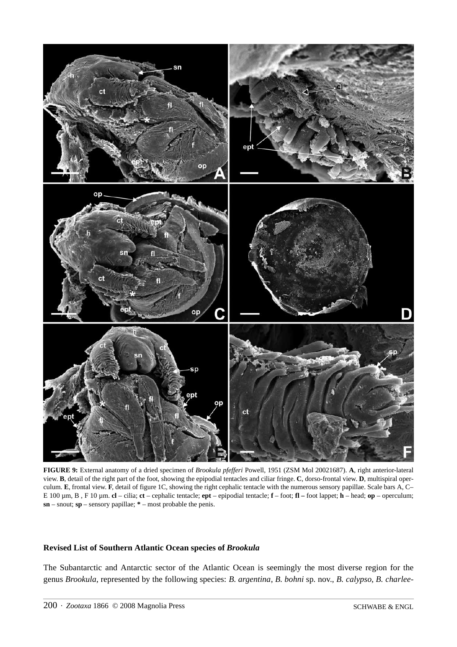

**FIGURE 9:** External anatomy of a dried specimen of *Brookula pfefferi* Powell, 1951 (ZSM Mol 20021687). **A**, right anterior-lateral view. **B**, detail of the right part of the foot, showing the epipodial tentacles and ciliar fringe. **C**, dorso-frontal view. **D**, multispiral operculum. **E**, frontal view. **F**, detail of figure 1C, showing the right cephalic tentacle with the numerous sensory papillae. Scale bars A, C– E 100 µm, B , F 10 µm. **cl** – cilia; **ct** – cephalic tentacle; **ept** – epipodial tentacle; **f** – foot; **fl –** foot lappet; **h** – head; **op** – operculum; **sn** – snout; **sp** – sensory papillae; **\*** – most probable the penis.

## **Revised List of Southern Atlantic Ocean species of** *Brookula*

The Subantarctic and Antarctic sector of the Atlantic Ocean is seemingly the most diverse region for the genus *Brookula*, represented by the following species: *B. argentina*, *B. bohni* sp. nov., *B. calypso*, *B. charlee-*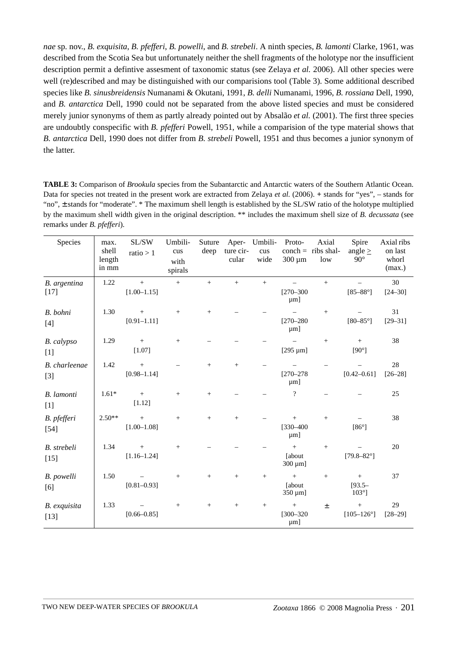*nae* sp. nov., *B. exquisita*, *B. pfefferi*, *B. powelli*, and *B. strebeli*. A ninth species, *B. lamonti* Clarke, 1961, was described from the Scotia Sea but unfortunately neither the shell fragments of the holotype nor the insufficient description permit a defintive assesment of taxonomic status (see Zelaya *et al.* 2006). All other species were well (re)described and may be distinguished with our comparisions tool (Table 3). Some additional described species like *B. sinusbreidensis* Numanami & Okutani, 1991, *B. delli* Numanami, 1996, *B. rossiana* Dell, 1990, and *B. antarctica* Dell, 1990 could not be separated from the above listed species and must be considered merely junior synonyms of them as partly already pointed out by Absalão *et al.* (2001). The first three species are undoubtly conspecific with *B. pfefferi* Powell, 1951, while a comparision of the type material shows that *B. antarctica* Dell, 1990 does not differ from *B. strebeli* Powell, 1951 and thus becomes a junior synonym of the latter.

**TABLE 3:** Comparison of *Brookula* species from the Subantarctic and Antarctic waters of the Southern Atlantic Ocean. Data for species not treated in the present work are extracted from Zelaya *et al.* (2006). **+** stands for "yes", – stands for "no", ± stands for "moderate". \* The maximum shell length is established by the SL/SW ratio of the holotype multiplied by the maximum shell width given in the original description. \*\* includes the maximum shell size of *B. decussata* (see remarks under *B. pfefferi*).

| Species                | max.<br>shell<br>length<br>in mm | $\mathrm{SL}/\mathrm{SW}$<br>ratio > 1 | Umbili-<br>$\,\rm{cus}$<br>with<br>spirals | Suture<br>deep | Aper-<br>ture cir-<br>cular | Umbili-<br>cus<br>wide | Proto-<br>$300 \mu m$               | Axial<br>$\text{conch} = \text{ribs shall}$<br>low | Spire<br>angle $\geq$<br>$90^\circ$     | Axial ribs<br>on last<br>whorl<br>(max.) |
|------------------------|----------------------------------|----------------------------------------|--------------------------------------------|----------------|-----------------------------|------------------------|-------------------------------------|----------------------------------------------------|-----------------------------------------|------------------------------------------|
| B. argentina<br>$[17]$ | 1.22                             | $+$<br>$[1.00 - 1.15]$                 | $\qquad \qquad +$                          | $+$            |                             |                        | $[270 - 300]$<br>$\mu$ m]           | $+$                                                | $[85 - 88^\circ]$                       | 30<br>$[24 - 30]$                        |
| B. bohni<br>$[4]$      | 1.30                             | $+$<br>$[0.91 - 1.11]$                 | $+$                                        | $+$            |                             |                        | $[270 - 280]$<br>$\mu$ m]           | $+$                                                | $[80-85^{\circ}]$                       | 31<br>$[29 - 31]$                        |
| B. calypso<br>$[1]$    | 1.29                             | $\,+\,$<br>[1.07]                      | $\! + \!$                                  |                |                             |                        | [ $295 \,\mu m$ ]                   | $+$                                                | $+$<br>$[90^\circ]$                     | 38                                       |
| B. charleenae<br>$[3]$ | 1.42                             | $\pm$<br>$[0.98 - 1.14]$               |                                            | $+$            | $+$                         |                        | $[270 - 278]$<br>$\mu$ m]           |                                                    | $[0.42 - 0.61]$                         | 28<br>$[26 - 28]$                        |
| B. lamonti<br>$[1]$    | $1.61*$                          | $\pm$<br>[1.12]                        | $\boldsymbol{+}$                           | $+$            |                             |                        | $\overline{?}$                      |                                                    |                                         | 25                                       |
| B. pfefferi<br>$[54]$  | $2.50**$                         | $\pm$<br>$[1.00 - 1.08]$               | $\! + \!$                                  | $+$            | $+$                         |                        | $^{+}$<br>$[330 - 400]$<br>$\mu$ m] | $+$                                                | $[86^\circ]$                            | 38                                       |
| B. strebeli<br>$[15]$  | 1.34                             | $\pm$<br>$[1.16 - 1.24]$               | $+$                                        |                |                             |                        | $^{+}$<br>[about<br>$300 \mu m$ ]   | $+$                                                | $[79.8 - 82^{\circ}]$                   | 20                                       |
| B. powelli<br>[6]      | 1.50                             | $[0.81 - 0.93]$                        | $+$                                        | $+$            | $+$                         | $\qquad \qquad +$      | $+$<br>[about]<br>350 µm]           | $+$                                                | $+$<br>$[93.5 -$<br>$103^{\circ}$ ]     | 37                                       |
| B. exquisita<br>$[13]$ | 1.33                             | $[0.66 - 0.85]$                        | $\! + \!$                                  | $^{+}$         | $\boldsymbol{+}$            | $\! + \!\!\!\!$        | $^{+}$<br>$[300 - 320]$<br>$\mu$ m] | $\pm$                                              | $\boldsymbol{+}$<br>$[105 - 126^\circ]$ | 29<br>$[28 - 29]$                        |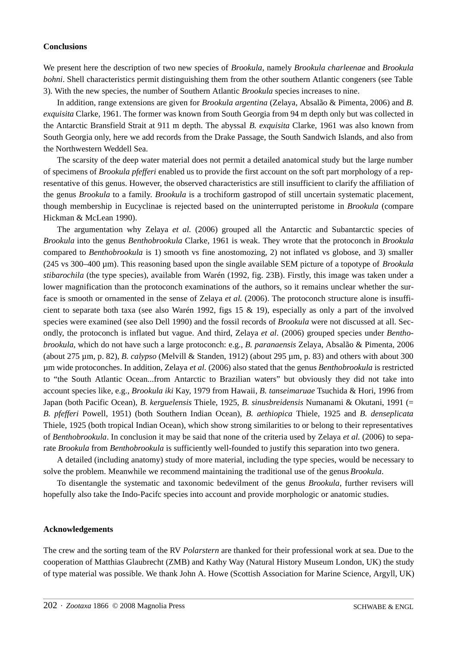#### **Conclusions**

We present here the description of two new species of *Brookula*, namely *Brookula charleenae* and *Brookula bohni*. Shell characteristics permit distinguishing them from the other southern Atlantic congeners (see Table 3). With the new species, the number of Southern Atlantic *Brookula* species increases to nine.

In addition, range extensions are given for *Brookula argentina* (Zelaya, Absalão & Pimenta, 2006) and *B. exquisita* Clarke, 1961. The former was known from South Georgia from 94 m depth only but was collected in the Antarctic Bransfield Strait at 911 m depth. The abyssal *B. exquisita* Clarke, 1961 was also known from South Georgia only, here we add records from the Drake Passage, the South Sandwich Islands, and also from the Northwestern Weddell Sea.

The scarsity of the deep water material does not permit a detailed anatomical study but the large number of specimens of *Brookula pfefferi* enabled us to provide the first account on the soft part morphology of a representative of this genus. However, the observed characteristics are still insufficient to clarify the affiliation of the genus *Brookula* to a family. *Brookula* is a trochiform gastropod of still uncertain systematic placement, though membership in Eucyclinae is rejected based on the uninterrupted peristome in *Brookula* (compare Hickman & McLean 1990).

The argumentation why Zelaya *et al.* (2006) grouped all the Antarctic and Subantarctic species of *Brookula* into the genus *Benthobrookula* Clarke, 1961 is weak. They wrote that the protoconch in *Brookula* compared to *Benthobrookula* is 1) smooth vs fine anostomozing, 2) not inflated vs globose, and 3) smaller (245 vs 300–400 µm). This reasoning based upon the single available SEM picture of a topotype of *Brookula stibarochila* (the type species), available from Warén (1992, fig. 23B). Firstly, this image was taken under a lower magnification than the protoconch examinations of the authors, so it remains unclear whether the surface is smooth or ornamented in the sense of Zelaya *et al.* (2006). The protoconch structure alone is insufficient to separate both taxa (see also Warén 1992, figs 15  $\&$  19), especially as only a part of the involved species were examined (see also Dell 1990) and the fossil records of *Brookula* were not discussed at all. Secondly, the protoconch is inflated but vague. And third, Zelaya *et al.* (2006) grouped species under *Benthobrookula*, which do not have such a large protoconch: e.g., *B. paranaensis* Zelaya, Absalão & Pimenta, 2006 (about 275 µm, p. 82), *B. calypso* (Melvill & Standen, 1912) (about 295 µm, p. 83) and others with about 300 µm wide protoconches. In addition, Zelaya *et al.* (2006) also stated that the genus *Benthobrookula* is restricted to "the South Atlantic Ocean...from Antarctic to Brazilian waters" but obviously they did not take into account species like, e.g., *Brookula iki* Kay, 1979 from Hawaii, *B. tanseimaruae* Tsuchida & Hori, 1996 from Japan (both Pacific Ocean), *B. kerguelensis* Thiele, 1925, *B. sinusbreidensis* Numanami & Okutani, 1991 (= *B. pfefferi* Powell, 1951) (both Southern Indian Ocean), *B. aethiopica* Thiele, 1925 and *B. denseplicata* Thiele, 1925 (both tropical Indian Ocean), which show strong similarities to or belong to their representatives of *Benthobrookula*. In conclusion it may be said that none of the criteria used by Zelaya *et al.* (2006) to separate *Brookula* from *Benthobrookula* is sufficiently well-founded to justify this separation into two genera.

A detailed (including anatomy) study of more material, including the type species, would be necessary to solve the problem. Meanwhile we recommend maintaining the traditional use of the genus *Brookula*.

To disentangle the systematic and taxonomic bedevilment of the genus *Brookula*, further revisers will hopefully also take the Indo-Pacifc species into account and provide morphologic or anatomic studies.

#### **Acknowledgements**

The crew and the sorting team of the RV *Polarstern* are thanked for their professional work at sea. Due to the cooperation of Matthias Glaubrecht (ZMB) and Kathy Way (Natural History Museum London, UK) the study of type material was possible. We thank John A. Howe (Scottish Association for Marine Science, Argyll, UK)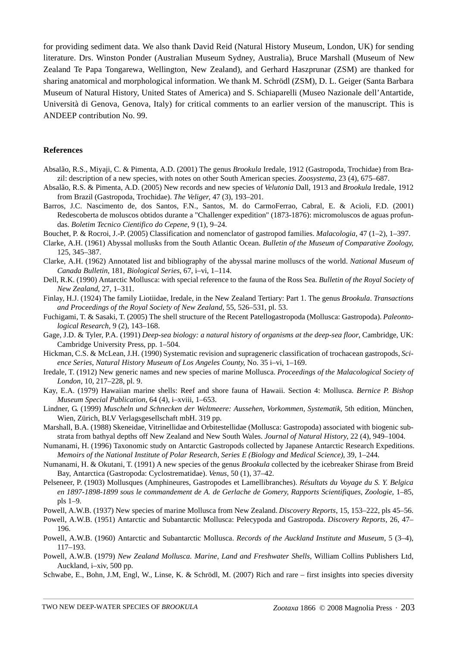for providing sediment data. We also thank David Reid (Natural History Museum, London, UK) for sending literature. Drs. Winston Ponder (Australian Museum Sydney, Australia), Bruce Marshall (Museum of New Zealand Te Papa Tongarewa, Wellington, New Zealand), and Gerhard Haszprunar (ZSM) are thanked for sharing anatomical and morphological information. We thank M. Schrödl (ZSM), D. L. Geiger (Santa Barbara Museum of Natural History, United States of America) and S. Schiaparelli (Museo Nazionale dell'Antartide, Università di Genova, Genova, Italy) for critical comments to an earlier version of the manuscript. This is ANDEEP contribution No. 99.

#### **References**

- Absalão, R.S., Miyaji, C. & Pimenta, A.D. (2001) The genus *Brookula* Iredale, 1912 (Gastropoda, Trochidae) from Brazil: description of a new species, with notes on other South American species. *Zoosystema*, 23 (4), 675–687.
- Absalão, R.S. & Pimenta, A.D. (2005) New records and new species of *Velutonia* Dall, 1913 and *Brookula* Iredale, 1912 from Brazil (Gastropoda, Trochidae). *The Veliger*, 47 (3), 193–201.
- Barros, J.C. Nascimento de, dos Santos, F.N., Santos, M. do CarmoFerrao, Cabral, E. & Acioli, F.D. (2001) Redescoberta de moluscos obtidos durante a "Challenger expedition" (1873-1876): micromoluscos de aguas profundas. *Boletim Tecnico Cientifico do Cepene*, 9 (1), 9–24.
- Bouchet, P. & Rocroi, J.-P. (2005) Classification and nomenclator of gastropod families. *Malacologia*, 47 (1–2), 1–397.
- Clarke, A.H. (1961) Abyssal mollusks from the South Atlantic Ocean. *Bulletin of the Museum of Comparative Zoology*, 125, 345–387.
- Clarke, A.H. (1962) Annotated list and bibliography of the abyssal marine molluscs of the world. *National Museum of Canada Bulletin*, 181, *Biological Series*, 67, i–vi, 1–114.
- Dell, R.K. (1990) Antarctic Mollusca: with special reference to the fauna of the Ross Sea. *Bulletin of the Royal Society of New Zealand*, 27, 1–311.
- Finlay, H.J. (1924) The family Liotiidae, Iredale, in the New Zealand Tertiary: Part 1. The genus *Brookula*. *Transactions and Proceedings of the Royal Society of New Zealand*, 55, 526–531, pl. 53.
- Fuchigami, T. & Sasaki, T. (2005) The shell structure of the Recent Patellogastropoda (Mollusca: Gastropoda). *Paleontological Research*, 9 (2), 143–168.
- Gage, J.D. & Tyler, P.A. (1991) *Deep-sea biology: a natural history of organisms at the deep-sea floor*, Cambridge, UK: Cambridge University Press, pp. 1–504.
- Hickman, C.S. & McLean, J.H. (1990) Systematic revision and suprageneric classification of trochacean gastropods, *Science Series, Natural History Museum of Los Angeles County*, No. 35 i–vi, 1–169.
- Iredale, T. (1912) New generic names and new species of marine Mollusca. *Proceedings of the Malacological Society of London*, 10, 217–228, pl. 9.
- Kay, E.A. (1979) Hawaiian marine shells: Reef and shore fauna of Hawaii. Section 4: Mollusca. *Bernice P. Bishop Museum Special Publication*, 64 (4), i–xviii, 1–653.
- Lindner, G. (1999) *Muscheln und Schnecken der Weltmeere: Aussehen, Vorkommen, Systematik*, 5th edition, München, Wien, Zürich, BLV Verlagsgesellschaft mbH. 319 pp.
- Marshall, B.A. (1988) Skeneidae, Vitrinellidae and Orbitestellidae (Mollusca: Gastropoda) associated with biogenic substrata from bathyal depths off New Zealand and New South Wales. *Journal of Natural History*, 22 (4), 949–1004.
- Numanami, H. (1996) Taxonomic study on Antarctic Gastropods collected by Japanese Antarctic Research Expeditions. *Memoirs of the National Institute of Polar Research, Series E (Biology and Medical Science)*, 39, 1–244.
- Numanami, H. & Okutani, T. (1991) A new species of the genus *Brookula* collected by the icebreaker Shirase from Breid Bay, Antarctica (Gastropoda: Cyclostrematidae). *Venus*, 50 (1), 37–42.
- Pelseneer, P. (1903) Mollusques (Amphineures, Gastropodes et Lamellibranches). *Résultats du Voyage du S. Y. Belgica en 1897-1898-1899 sous le commandement de A. de Gerlache de Gomery, Rapports Scientifiques, Zoologie*, 1–85, pls 1–9.
- Powell, A.W.B. (1937) New species of marine Mollusca from New Zealand. *Discovery Reports*, 15, 153–222, pls 45–56.
- Powell, A.W.B. (1951) Antarctic and Subantarctic Mollusca: Pelecypoda and Gastropoda. *Discovery Reports*, 26, 47– 196.
- Powell, A.W.B. (1960) Antarctic and Subantarctic Mollusca. *Records of the Auckland Institute and Museum*, 5 (3–4), 117–193.
- Powell, A.W.B. (1979) *New Zealand Mollusca. Marine, Land and Freshwater Shells*, William Collins Publishers Ltd, Auckland, i–xiv, 500 pp.
- Schwabe, E., Bohn, J.M, Engl, W., Linse, K. & Schrödl, M. (2007) Rich and rare first insights into species diversity